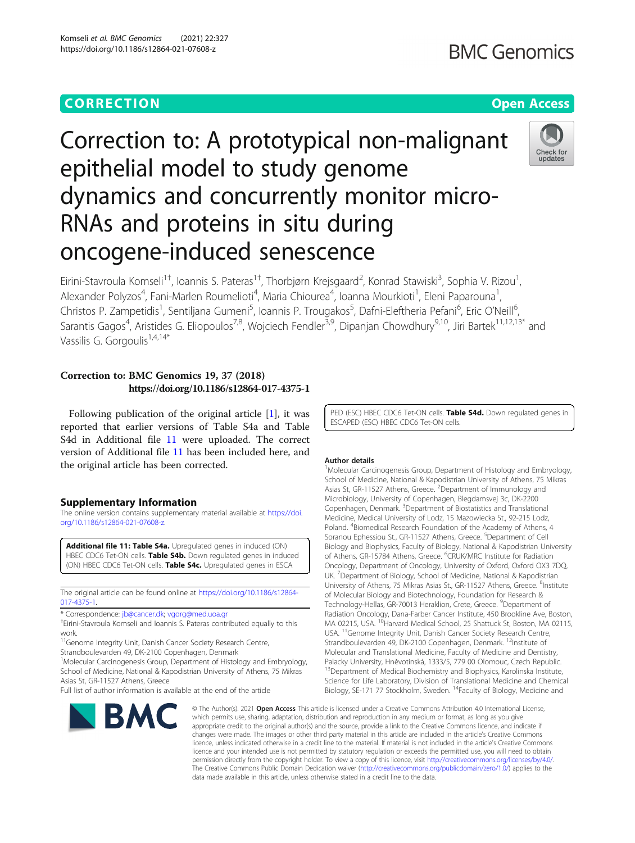## **CORRECTION CORRECTION CORRECTION**

# Correction to: A prototypical non-malignant epithelial model to study genome dynamics and concurrently monitor micro-RNAs and proteins in situ during oncogene-induced senescence



Eirini-Stavroula Komseli<sup>1†</sup>, Ioannis S. Pateras<sup>1†</sup>, Thorbjørn Krejsgaard<sup>2</sup>, Konrad Stawiski<sup>3</sup>, Sophia V. Rizou<sup>1</sup> , Alexander Polyzos<sup>4</sup>, Fani-Marlen Roumelioti<sup>4</sup>, Maria Chiourea<sup>4</sup>, Ioanna Mourkioti<sup>1</sup>, Eleni Paparouna<sup>1</sup> , Christos P. Zampetidis<sup>1</sup>, Sentiljana Gumeni<sup>5</sup>, Ioannis P. Trougakos<sup>5</sup>, Dafni-Eleftheria Pefani<sup>6</sup>, Eric O'Neill<sup>6</sup> .<br>י Sarantis Gagos<sup>4</sup>, Aristides G. Eliopoulos<sup>7,8</sup>, Wojciech Fendler<sup>3,9</sup>, Dipanjan Chowdhury<sup>9,10</sup>, Jiri Bartek<sup>11,12,13\*</sup> and Vassilis G. Gorgoulis<sup>1,4,14\*</sup>

### Correction to: BMC Genomics 19, 37 (2018) https://doi.org/10.1186/s12864-017-4375-1

Following publication of the original article [\[1](#page-1-0)], it was reported that earlier versions of Table S4a and Table S4d in Additional file 11 were uploaded. The correct version of Additional file 11 has been included here, and the original article has been corrected.

#### Supplementary Information

The online version contains supplementary material available at [https://doi.](https://doi.org/10.1186/s12864-021-07608-z) [org/10.1186/s12864-021-07608-z.](https://doi.org/10.1186/s12864-021-07608-z)

Additional file 11: Table S4a. Upregulated genes in induced (ON) HBEC CDC6 Tet-ON cells. Table S4b. Down regulated genes in induced (ON) HBEC CDC6 Tet-ON cells. Table S4c. Upregulated genes in ESCA

The original article can be found online at [https://doi.org/10.1186/s12864-](https://doi.org/10.1186/s12864-017-4375-1) [017-4375-1.](https://doi.org/10.1186/s12864-017-4375-1)

\* Correspondence: [jb@cancer.dk;](mailto:jb@cancer.dk) [vgorg@med.uoa.gr](mailto:vgorg@med.uoa.gr) †

Eirini-Stavroula Komseli and Ioannis S. Pateras contributed equally to this work.

<sup>11</sup>Genome Integrity Unit, Danish Cancer Society Research Centre, Strandboulevarden 49, DK-2100 Copenhagen, Denmark

<sup>1</sup>Molecular Carcinogenesis Group, Department of Histology and Embryology, School of Medicine, National & Kapodistrian University of Athens, 75 Mikras Asias St, GR-11527 Athens, Greece

Full list of author information is available at the end of the article

PED (ESC) HBEC CDC6 Tet-ON cells. Table S4d. Down regulated genes in ESCAPED (ESC) HBEC CDC6 Tet-ON cells.

#### Author details

<sup>1</sup>Molecular Carcinogenesis Group, Department of Histology and Embryology School of Medicine, National & Kapodistrian University of Athens, 75 Mikras Asias St, GR-11527 Athens, Greece. <sup>2</sup>Department of Immunology and Microbiology, University of Copenhagen, Blegdamsvej 3c, DK-2200 Copenhagen, Denmark. <sup>3</sup>Department of Biostatistics and Translational Medicine, Medical University of Lodz, 15 Mazowiecka St., 92-215 Lodz, Poland. <sup>4</sup> Biomedical Research Foundation of the Academy of Athens, 4 Soranou Ephessiou St., GR-11527 Athens, Greece. <sup>5</sup>Department of Cell Biology and Biophysics, Faculty of Biology, National & Kapodistrian University of Athens, GR-15784 Athens, Greece. <sup>6</sup>CRUK/MRC Institute for Radiation Oncology, Department of Oncology, University of Oxford, Oxford OX3 7DQ, UK. <sup>7</sup>Department of Biology, School of Medicine, National & Kapodistrian University of Athens, 75 Mikras Asias St., GR-11527 Athens, Greece. <sup>8</sup>Institute of Molecular Biology and Biotechnology, Foundation for Research & Technology-Hellas, GR-70013 Heraklion, Crete, Greece. <sup>9</sup>Department of Radiation Oncology, Dana-Farber Cancer Institute, 450 Brookline Ave, Boston,<br>MA 02215, USA. <sup>10</sup>Harvard Medical School, 25 Shattuck St, Boston, MA 02115, USA. 11Genome Integrity Unit, Danish Cancer Society Research Centre, Strandboulevarden 49, DK-2100 Copenhagen, Denmark. <sup>12</sup>Institute of Molecular and Translational Medicine, Faculty of Medicine and Dentistry, Palacky University, Hněvotínská, 1333/5, 779 00 Olomouc, Czech Republic.<br><sup>13</sup>Department of Medical Biochemistry and Biophysics, Karolinska Institute, Science for Life Laboratory, Division of Translational Medicine and Chemical Biology, SE-171 77 Stockholm, Sweden. <sup>14</sup>Faculty of Biology, Medicine and

**BMC** 

© The Author(s), 2021 **Open Access** This article is licensed under a Creative Commons Attribution 4.0 International License, which permits use, sharing, adaptation, distribution and reproduction in any medium or format, as long as you give appropriate credit to the original author(s) and the source, provide a link to the Creative Commons licence, and indicate if changes were made. The images or other third party material in this article are included in the article's Creative Commons licence, unless indicated otherwise in a credit line to the material. If material is not included in the article's Creative Commons licence and your intended use is not permitted by statutory regulation or exceeds the permitted use, you will need to obtain permission directly from the copyright holder. To view a copy of this licence, visit [http://creativecommons.org/licenses/by/4.0/.](http://creativecommons.org/licenses/by/4.0/) The Creative Commons Public Domain Dedication waiver [\(http://creativecommons.org/publicdomain/zero/1.0/](http://creativecommons.org/publicdomain/zero/1.0/)) applies to the data made available in this article, unless otherwise stated in a credit line to the data.